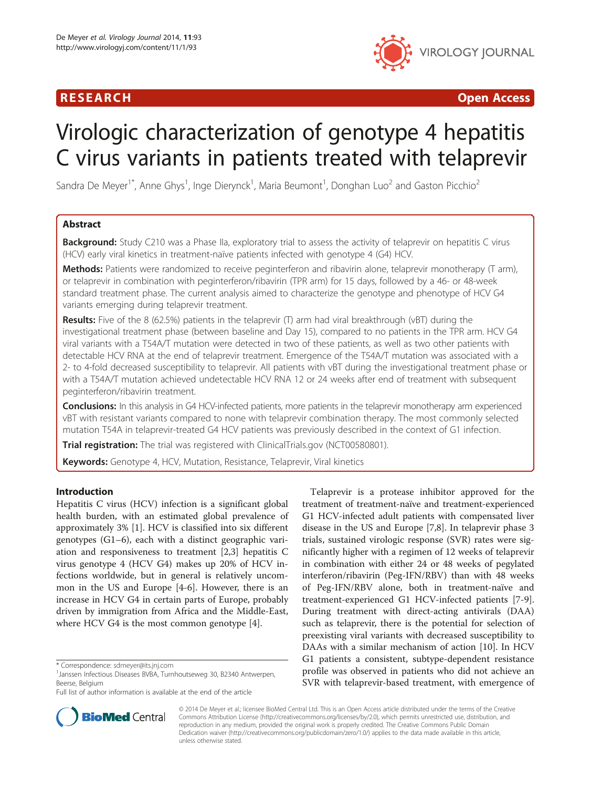## R E S EAR CH Open Access



# Virologic characterization of genotype 4 hepatitis C virus variants in patients treated with telaprevir

Sandra De Meyer<sup>1\*</sup>, Anne Ghys<sup>1</sup>, Inge Dierynck<sup>1</sup>, Maria Beumont<sup>1</sup>, Donghan Luo<sup>2</sup> and Gaston Picchio<sup>2</sup>

## Abstract

**Background:** Study C210 was a Phase IIa, exploratory trial to assess the activity of telaprevir on hepatitis C virus (HCV) early viral kinetics in treatment-naïve patients infected with genotype 4 (G4) HCV.

Methods: Patients were randomized to receive peginterferon and ribavirin alone, telaprevir monotherapy (T arm), or telaprevir in combination with peginterferon/ribavirin (TPR arm) for 15 days, followed by a 46- or 48-week standard treatment phase. The current analysis aimed to characterize the genotype and phenotype of HCV G4 variants emerging during telaprevir treatment.

Results: Five of the 8 (62.5%) patients in the telaprevir (T) arm had viral breakthrough (vBT) during the investigational treatment phase (between baseline and Day 15), compared to no patients in the TPR arm. HCV G4 viral variants with a T54A/T mutation were detected in two of these patients, as well as two other patients with detectable HCV RNA at the end of telaprevir treatment. Emergence of the T54A/T mutation was associated with a 2- to 4-fold decreased susceptibility to telaprevir. All patients with vBT during the investigational treatment phase or with a T54A/T mutation achieved undetectable HCV RNA 12 or 24 weeks after end of treatment with subsequent peginterferon/ribavirin treatment.

**Conclusions:** In this analysis in G4 HCV-infected patients, more patients in the telaprevir monotherapy arm experienced vBT with resistant variants compared to none with telaprevir combination therapy. The most commonly selected mutation T54A in telaprevir-treated G4 HCV patients was previously described in the context of G1 infection.

Trial registration: The trial was registered with ClinicalTrials.gov [\(NCT00580801](http://clinicaltrials.gov/show/NCT00580801)).

Keywords: Genotype 4, HCV, Mutation, Resistance, Telaprevir, Viral kinetics

## Introduction

Hepatitis C virus (HCV) infection is a significant global health burden, with an estimated global prevalence of approximately 3% [[1\]](#page-7-0). HCV is classified into six different genotypes (G1–6), each with a distinct geographic variation and responsiveness to treatment [[2,3\]](#page-7-0) hepatitis C virus genotype 4 (HCV G4) makes up 20% of HCV infections worldwide, but in general is relatively uncommon in the US and Europe [\[4](#page-7-0)-[6\]](#page-7-0). However, there is an increase in HCV G4 in certain parts of Europe, probably driven by immigration from Africa and the Middle-East, where HCV G4 is the most common genotype [\[4](#page-7-0)].

Full list of author information is available at the end of the article



**BioMed** Central

© 2014 De Meyer et al.; licensee BioMed Central Ltd. This is an Open Access article distributed under the terms of the Creative Commons Attribution License [\(http://creativecommons.org/licenses/by/2.0\)](http://creativecommons.org/licenses/by/2.0), which permits unrestricted use, distribution, and reproduction in any medium, provided the original work is properly credited. The Creative Commons Public Domain Dedication waiver [\(http://creativecommons.org/publicdomain/zero/1.0/](http://creativecommons.org/publicdomain/zero/1.0/)) applies to the data made available in this article, unless otherwise stated.

<sup>\*</sup> Correspondence: [sdmeyer@its.jnj.com](mailto:sdmeyer@its.jnj.com) <sup>1</sup>

<sup>&</sup>lt;sup>1</sup> Janssen Infectious Diseases BVBA, Turnhoutseweg 30, B2340 Antwerpen, Beerse, Belgium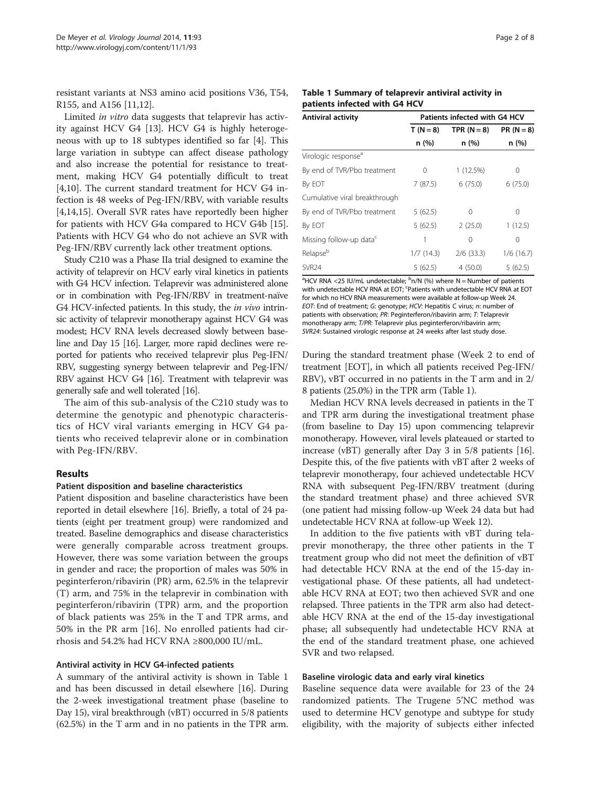resistant variants at NS3 amino acid positions V36, T54, R155, and A156 [\[11,12](#page-7-0)].

Limited in vitro data suggests that telaprevir has activity against HCV G4 [[13\]](#page-7-0). HCV G4 is highly heterogeneous with up to 18 subtypes identified so far [\[4](#page-7-0)]. This large variation in subtype can affect disease pathology and also increase the potential for resistance to treatment, making HCV G4 potentially difficult to treat [[4,10\]](#page-7-0). The current standard treatment for HCV G4 infection is 48 weeks of Peg-IFN/RBV, with variable results [[4,14,15\]](#page-7-0). Overall SVR rates have reportedly been higher for patients with HCV G4a compared to HCV G4b [\[15](#page-7-0)]. Patients with HCV G4 who do not achieve an SVR with Peg-IFN/RBV currently lack other treatment options.

Study C210 was a Phase IIa trial designed to examine the activity of telaprevir on HCV early viral kinetics in patients with G4 HCV infection. Telaprevir was administered alone or in combination with Peg-IFN/RBV in treatment-naïve G4 HCV-infected patients. In this study, the *in vivo* intrinsic activity of telaprevir monotherapy against HCV G4 was modest; HCV RNA levels decreased slowly between baseline and Day 15 [\[16](#page-7-0)]. Larger, more rapid declines were reported for patients who received telaprevir plus Peg-IFN/ RBV, suggesting synergy between telaprevir and Peg-IFN/ RBV against HCV G4 [\[16\]](#page-7-0). Treatment with telaprevir was generally safe and well tolerated [\[16](#page-7-0)].

The aim of this sub-analysis of the C210 study was to determine the genotypic and phenotypic characteristics of HCV viral variants emerging in HCV G4 patients who received telaprevir alone or in combination with Peg-IFN/RBV.

## Results

## Patient disposition and baseline characteristics

Patient disposition and baseline characteristics have been reported in detail elsewhere [[16](#page-7-0)]. Briefly, a total of 24 patients (eight per treatment group) were randomized and treated. Baseline demographics and disease characteristics were generally comparable across treatment groups. However, there was some variation between the groups in gender and race; the proportion of males was 50% in peginterferon/ribavirin (PR) arm, 62.5% in the telaprevir (T) arm, and 75% in the telaprevir in combination with peginterferon/ribavirin (TPR) arm, and the proportion of black patients was 25% in the T and TPR arms, and 50% in the PR arm [\[16](#page-7-0)]. No enrolled patients had cirrhosis and 54.2% had HCV RNA ≥800,000 IU/mL.

## Antiviral activity in HCV G4-infected patients

A summary of the antiviral activity is shown in Table 1 and has been discussed in detail elsewhere [\[16\]](#page-7-0). During the 2-week investigational treatment phase (baseline to Day 15), viral breakthrough (vBT) occurred in 5/8 patients (62.5%) in the T arm and in no patients in the TPR arm.

| Table 1 Summary of telaprevir antiviral activity in |  |
|-----------------------------------------------------|--|
| patients infected with G4 HCV                       |  |

| Antiviral activity                  | Patients infected with G4 HCV |               |                  |  |
|-------------------------------------|-------------------------------|---------------|------------------|--|
|                                     | $T(N=8)$                      | TPR $(N = 8)$ | $PR (N = 8)$     |  |
|                                     | n (%)                         | n (%)         | n (%)            |  |
| Virologic response <sup>a</sup>     |                               |               |                  |  |
| By end of TVR/Pbo treatment         | 0                             | 1(12.5%)      | $\left( \right)$ |  |
| By EOT                              | 7(87.5)                       | 6(75.0)       | 6(75.0)          |  |
| Cumulative viral breakthrough       |                               |               |                  |  |
| By end of TVR/Pbo treatment         | 5(62.5)                       | 0             | Ω                |  |
| By EOT                              | 5(62.5)                       | 2(25.0)       | 1(12.5)          |  |
| Missing follow-up data <sup>c</sup> | 1                             | 0             | Ω                |  |
| Relapse <sup>b</sup>                | 1/7(14.3)                     | $2/6$ (33.3)  | 1/6(16.7)        |  |
| SVR <sub>24</sub>                   | 5(62.5)                       | 4(50.0)       | 5(62.5)          |  |

<sup>a</sup>HCV RNA <25 IU/mL undetectable;  $\frac{b}{n}$ /N (%) where N = Number of patients with undetectable HCV RNA at EOT; <sup>c</sup>Patients with undetectable HCV RNA at EOT for which no HCV RNA measurements were available at follow-up Week 24. EOT: End of treatment; G: genotype; HCV: Hepatitis C virus; n: number of patients with observation; PR: Peginterferon/ribavirin arm; T: Telaprevir monotherapy arm; T/PR: Telaprevir plus peginterferon/ribavirin arm; SVR24: Sustained virologic response at 24 weeks after last study dose.

During the standard treatment phase (Week 2 to end of treatment [EOT], in which all patients received Peg-IFN/ RBV), vBT occurred in no patients in the T arm and in 2/ 8 patients (25.0%) in the TPR arm (Table 1).

Median HCV RNA levels decreased in patients in the T and TPR arm during the investigational treatment phase (from baseline to Day 15) upon commencing telaprevir monotherapy. However, viral levels plateaued or started to increase (vBT) generally after Day 3 in 5/8 patients [[16](#page-7-0)]. Despite this, of the five patients with vBT after 2 weeks of telaprevir monotherapy, four achieved undetectable HCV RNA with subsequent Peg-IFN/RBV treatment (during the standard treatment phase) and three achieved SVR (one patient had missing follow-up Week 24 data but had undetectable HCV RNA at follow-up Week 12).

In addition to the five patients with vBT during telaprevir monotherapy, the three other patients in the T treatment group who did not meet the definition of vBT had detectable HCV RNA at the end of the 15-day investigational phase. Of these patients, all had undetectable HCV RNA at EOT; two then achieved SVR and one relapsed. Three patients in the TPR arm also had detectable HCV RNA at the end of the 15-day investigational phase; all subsequently had undetectable HCV RNA at the end of the standard treatment phase, one achieved SVR and two relapsed.

## Baseline virologic data and early viral kinetics

Baseline sequence data were available for 23 of the 24 randomized patients. The Trugene 5'NC method was used to determine HCV genotype and subtype for study eligibility, with the majority of subjects either infected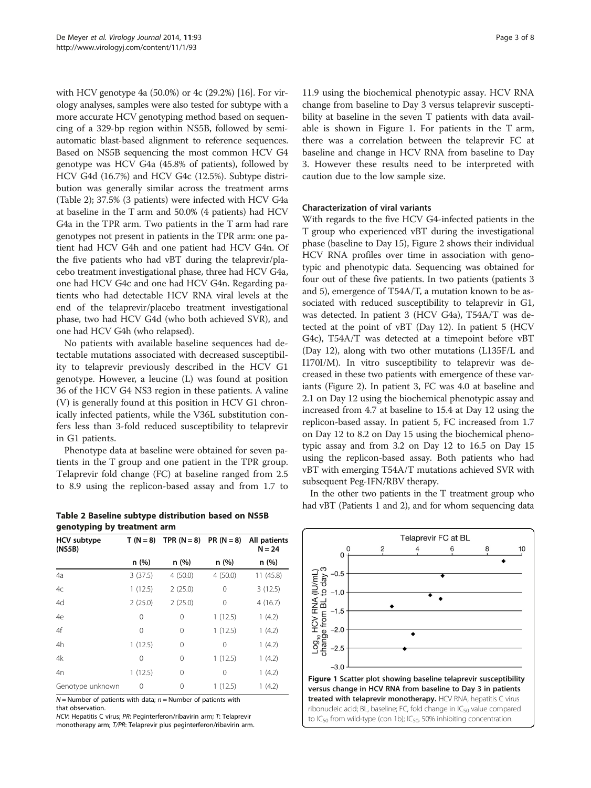<span id="page-2-0"></span>with HCV genotype 4a (50.0%) or 4c (29.2%) [\[16\]](#page-7-0). For virology analyses, samples were also tested for subtype with a more accurate HCV genotyping method based on sequencing of a 329-bp region within NS5B, followed by semiautomatic blast-based alignment to reference sequences. Based on NS5B sequencing the most common HCV G4 genotype was HCV G4a (45.8% of patients), followed by HCV G4d (16.7%) and HCV G4c (12.5%). Subtype distribution was generally similar across the treatment arms (Table 2); 37.5% (3 patients) were infected with HCV G4a at baseline in the T arm and 50.0% (4 patients) had HCV G4a in the TPR arm. Two patients in the T arm had rare genotypes not present in patients in the TPR arm: one patient had HCV G4h and one patient had HCV G4n. Of the five patients who had vBT during the telaprevir/placebo treatment investigational phase, three had HCV G4a, one had HCV G4c and one had HCV G4n. Regarding patients who had detectable HCV RNA viral levels at the end of the telaprevir/placebo treatment investigational phase, two had HCV G4d (who both achieved SVR), and one had HCV G4h (who relapsed).

No patients with available baseline sequences had detectable mutations associated with decreased susceptibility to telaprevir previously described in the HCV G1 genotype. However, a leucine (L) was found at position 36 of the HCV G4 NS3 region in these patients. A valine (V) is generally found at this position in HCV G1 chronically infected patients, while the V36L substitution confers less than 3-fold reduced susceptibility to telaprevir in G1 patients.

Phenotype data at baseline were obtained for seven patients in the T group and one patient in the TPR group. Telaprevir fold change (FC) at baseline ranged from 2.5 to 8.9 using the replicon-based assay and from 1.7 to

Table 2 Baseline subtype distribution based on NS5B genotyping by treatment arm

| <b>HCV</b> subtype<br>(N55B) | $T(N=8)$ | TPR $(N = 8)$ PR $(N = 8)$ |          | All patients<br>$N = 24$ |
|------------------------------|----------|----------------------------|----------|--------------------------|
|                              | n(%)     | n(%)                       | n (%)    | n (%)                    |
| 4a                           | 3(37.5)  | 4(50.0)                    | 4(50.0)  | 11 (45.8)                |
| 4c                           | 1(12.5)  | 2(25.0)                    | 0        | 3(12.5)                  |
| 4d                           | 2(25.0)  | 2(25.0)                    | 0        | 4(16.7)                  |
| 4e                           | 0        | 0                          | 1(12.5)  | 1(4.2)                   |
| 4f                           | 0        | 0                          | 1(12.5)  | 1(4.2)                   |
| 4h                           | 1(12.5)  | 0                          | $\Omega$ | 1(4.2)                   |
| 4k                           | 0        | 0                          | 1(12.5)  | 1(4.2)                   |
| 4n                           | 1(12.5)  | 0                          | $\Omega$ | 1(4.2)                   |
| Genotype unknown             | 0        | 0                          | 1(12.5)  | 1(4.2)                   |

 $N =$  Number of patients with data;  $n =$  Number of patients with that observation.

HCV: Hepatitis C virus; PR: Peginterferon/ribavirin arm; T: Telaprevir monotherapy arm; T/PR: Telaprevir plus peginterferon/ribavirin arm.

11.9 using the biochemical phenotypic assay. HCV RNA change from baseline to Day 3 versus telaprevir susceptibility at baseline in the seven T patients with data available is shown in Figure 1. For patients in the T arm, there was a correlation between the telaprevir FC at baseline and change in HCV RNA from baseline to Day 3. However these results need to be interpreted with caution due to the low sample size.

## Characterization of viral variants

With regards to the five HCV G4-infected patients in the T group who experienced vBT during the investigational phase (baseline to Day 15), Figure [2](#page-4-0) shows their individual HCV RNA profiles over time in association with genotypic and phenotypic data. Sequencing was obtained for four out of these five patients. In two patients (patients 3 and 5), emergence of T54A/T, a mutation known to be associated with reduced susceptibility to telaprevir in G1, was detected. In patient 3 (HCV G4a), T54A/T was detected at the point of vBT (Day 12). In patient 5 (HCV G4c), T54A/T was detected at a timepoint before vBT (Day 12), along with two other mutations (L135F/L and I170I/M). In vitro susceptibility to telaprevir was decreased in these two patients with emergence of these variants (Figure [2](#page-4-0)). In patient 3, FC was 4.0 at baseline and 2.1 on Day 12 using the biochemical phenotypic assay and increased from 4.7 at baseline to 15.4 at Day 12 using the replicon-based assay. In patient 5, FC increased from 1.7 on Day 12 to 8.2 on Day 15 using the biochemical phenotypic assay and from 3.2 on Day 12 to 16.5 on Day 15 using the replicon-based assay. Both patients who had vBT with emerging T54A/T mutations achieved SVR with subsequent Peg-IFN/RBV therapy.

In the other two patients in the T treatment group who had vBT (Patients 1 and 2), and for whom sequencing data

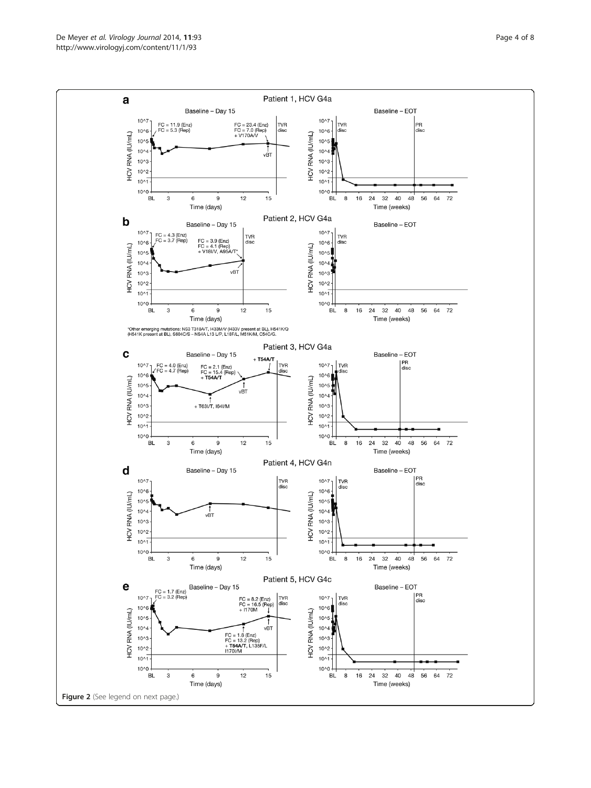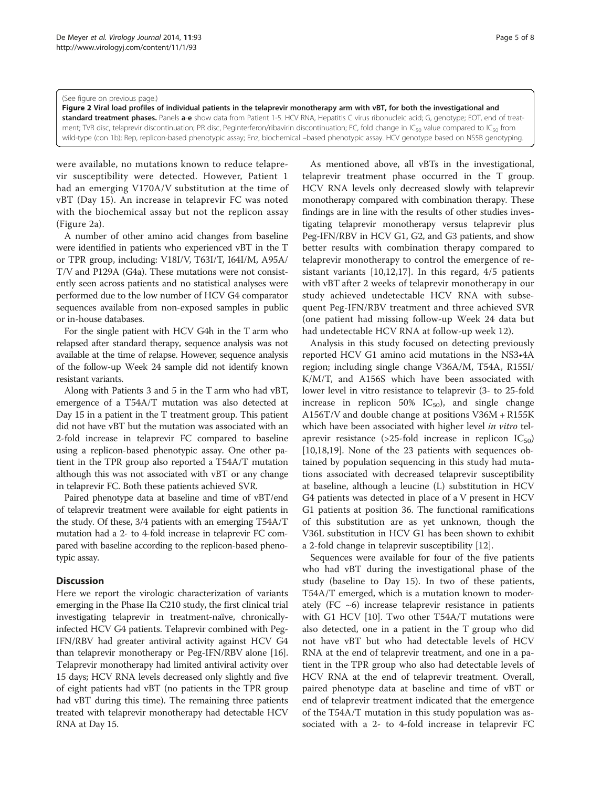#### <span id="page-4-0"></span>(See figure on previous page.)

Figure 2 Viral load profiles of individual patients in the telaprevir monotherapy arm with vBT, for both the investigational and standard treatment phases. Panels a-e show data from Patient 1-5. HCV RNA, Hepatitis C virus ribonucleic acid; G, genotype; EOT, end of treatment; TVR disc, telaprevir discontinuation; PR disc, Peginterferon/ribavirin discontinuation; FC, fold change in IC<sub>50</sub> value compared to IC<sub>50</sub> from wild-type (con 1b); Rep, replicon-based phenotypic assay; Enz, biochemical –based phenotypic assay. HCV genotype based on NS5B genotyping.

were available, no mutations known to reduce telaprevir susceptibility were detected. However, Patient 1 had an emerging V170A/V substitution at the time of vBT (Day 15). An increase in telaprevir FC was noted with the biochemical assay but not the replicon assay (Figure 2a).

A number of other amino acid changes from baseline were identified in patients who experienced vBT in the T or TPR group, including: V18I/V, T63I/T, I64I/M, A95A/ T/V and P129A (G4a). These mutations were not consistently seen across patients and no statistical analyses were performed due to the low number of HCV G4 comparator sequences available from non-exposed samples in public or in-house databases.

For the single patient with HCV G4h in the T arm who relapsed after standard therapy, sequence analysis was not available at the time of relapse. However, sequence analysis of the follow-up Week 24 sample did not identify known resistant variants.

Along with Patients 3 and 5 in the T arm who had vBT, emergence of a T54A/T mutation was also detected at Day 15 in a patient in the T treatment group. This patient did not have vBT but the mutation was associated with an 2-fold increase in telaprevir FC compared to baseline using a replicon-based phenotypic assay. One other patient in the TPR group also reported a T54A/T mutation although this was not associated with vBT or any change in telaprevir FC. Both these patients achieved SVR.

Paired phenotype data at baseline and time of vBT/end of telaprevir treatment were available for eight patients in the study. Of these, 3/4 patients with an emerging T54A/T mutation had a 2- to 4-fold increase in telaprevir FC compared with baseline according to the replicon-based phenotypic assay.

## **Discussion**

Here we report the virologic characterization of variants emerging in the Phase IIa C210 study, the first clinical trial investigating telaprevir in treatment-naïve, chronicallyinfected HCV G4 patients. Telaprevir combined with Peg-IFN/RBV had greater antiviral activity against HCV G4 than telaprevir monotherapy or Peg-IFN/RBV alone [[16](#page-7-0)]. Telaprevir monotherapy had limited antiviral activity over 15 days; HCV RNA levels decreased only slightly and five of eight patients had vBT (no patients in the TPR group had vBT during this time). The remaining three patients treated with telaprevir monotherapy had detectable HCV RNA at Day 15.

As mentioned above, all vBTs in the investigational, telaprevir treatment phase occurred in the T group. HCV RNA levels only decreased slowly with telaprevir monotherapy compared with combination therapy. These findings are in line with the results of other studies investigating telaprevir monotherapy versus telaprevir plus Peg-IFN/RBV in HCV G1, G2, and G3 patients, and show better results with combination therapy compared to telaprevir monotherapy to control the emergence of resistant variants [[10,12,17](#page-7-0)]. In this regard, 4/5 patients with vBT after 2 weeks of telaprevir monotherapy in our study achieved undetectable HCV RNA with subsequent Peg-IFN/RBV treatment and three achieved SVR (one patient had missing follow-up Week 24 data but had undetectable HCV RNA at follow-up week 12).

Analysis in this study focused on detecting previously reported HCV G1 amino acid mutations in the NS3•4A region; including single change V36A/M, T54A, R155I/ K/M/T, and A156S which have been associated with lower level in vitro resistance to telaprevir (3- to 25-fold increase in replicon 50%  $IC_{50}$ ), and single change A156T/V and double change at positions V36M + R155K which have been associated with higher level in vitro telaprevir resistance (>25-fold increase in replicon  $IC_{50}$ ) [[10,18,19\]](#page-7-0). None of the 23 patients with sequences obtained by population sequencing in this study had mutations associated with decreased telaprevir susceptibility at baseline, although a leucine (L) substitution in HCV G4 patients was detected in place of a V present in HCV G1 patients at position 36. The functional ramifications of this substitution are as yet unknown, though the V36L substitution in HCV G1 has been shown to exhibit a 2-fold change in telaprevir susceptibility [\[12](#page-7-0)].

Sequences were available for four of the five patients who had vBT during the investigational phase of the study (baseline to Day 15). In two of these patients, T54A/T emerged, which is a mutation known to moderately (FC  $\sim$ 6) increase telaprevir resistance in patients with G1 HCV [[10](#page-7-0)]. Two other T54A/T mutations were also detected, one in a patient in the T group who did not have vBT but who had detectable levels of HCV RNA at the end of telaprevir treatment, and one in a patient in the TPR group who also had detectable levels of HCV RNA at the end of telaprevir treatment. Overall, paired phenotype data at baseline and time of vBT or end of telaprevir treatment indicated that the emergence of the T54A/T mutation in this study population was associated with a 2- to 4-fold increase in telaprevir FC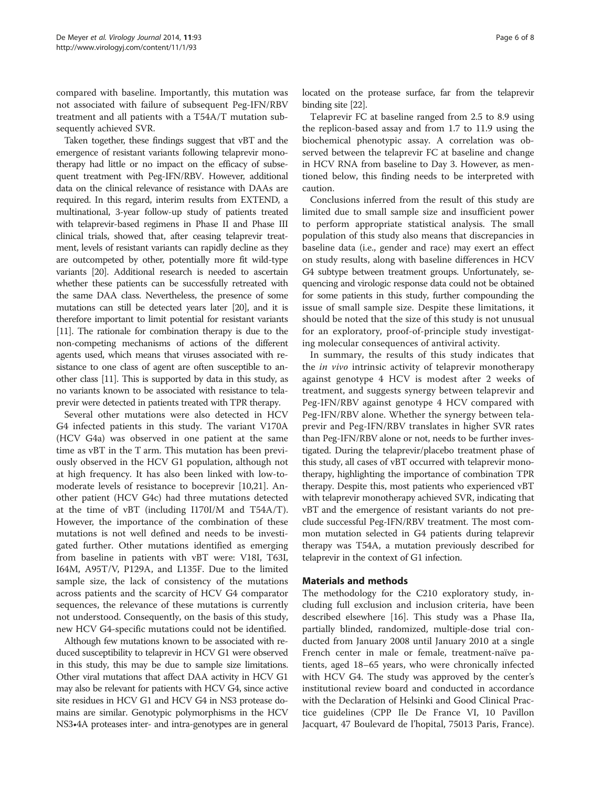compared with baseline. Importantly, this mutation was not associated with failure of subsequent Peg-IFN/RBV treatment and all patients with a T54A/T mutation subsequently achieved SVR.

Taken together, these findings suggest that vBT and the emergence of resistant variants following telaprevir monotherapy had little or no impact on the efficacy of subsequent treatment with Peg-IFN/RBV. However, additional data on the clinical relevance of resistance with DAAs are required. In this regard, interim results from EXTEND, a multinational, 3-year follow-up study of patients treated with telaprevir-based regimens in Phase II and Phase III clinical trials, showed that, after ceasing telaprevir treatment, levels of resistant variants can rapidly decline as they are outcompeted by other, potentially more fit wild-type variants [\[20\]](#page-7-0). Additional research is needed to ascertain whether these patients can be successfully retreated with the same DAA class. Nevertheless, the presence of some mutations can still be detected years later [[20](#page-7-0)], and it is therefore important to limit potential for resistant variants [[11](#page-7-0)]. The rationale for combination therapy is due to the non-competing mechanisms of actions of the different agents used, which means that viruses associated with resistance to one class of agent are often susceptible to another class [\[11\]](#page-7-0). This is supported by data in this study, as no variants known to be associated with resistance to telaprevir were detected in patients treated with TPR therapy.

Several other mutations were also detected in HCV G4 infected patients in this study. The variant V170A (HCV G4a) was observed in one patient at the same time as vBT in the T arm. This mutation has been previously observed in the HCV G1 population, although not at high frequency. It has also been linked with low-tomoderate levels of resistance to boceprevir [[10](#page-7-0),[21](#page-7-0)]. Another patient (HCV G4c) had three mutations detected at the time of vBT (including I170I/M and T54A/T). However, the importance of the combination of these mutations is not well defined and needs to be investigated further. Other mutations identified as emerging from baseline in patients with vBT were: V18I, T63I, I64M, A95T/V, P129A, and L135F. Due to the limited sample size, the lack of consistency of the mutations across patients and the scarcity of HCV G4 comparator sequences, the relevance of these mutations is currently not understood. Consequently, on the basis of this study, new HCV G4-specific mutations could not be identified.

Although few mutations known to be associated with reduced susceptibility to telaprevir in HCV G1 were observed in this study, this may be due to sample size limitations. Other viral mutations that affect DAA activity in HCV G1 may also be relevant for patients with HCV G4, since active site residues in HCV G1 and HCV G4 in NS3 protease domains are similar. Genotypic polymorphisms in the HCV NS3•4A proteases inter- and intra-genotypes are in general located on the protease surface, far from the telaprevir binding site [[22](#page-7-0)].

Telaprevir FC at baseline ranged from 2.5 to 8.9 using the replicon-based assay and from 1.7 to 11.9 using the biochemical phenotypic assay. A correlation was observed between the telaprevir FC at baseline and change in HCV RNA from baseline to Day 3. However, as mentioned below, this finding needs to be interpreted with caution.

Conclusions inferred from the result of this study are limited due to small sample size and insufficient power to perform appropriate statistical analysis. The small population of this study also means that discrepancies in baseline data (i.e., gender and race) may exert an effect on study results, along with baseline differences in HCV G4 subtype between treatment groups. Unfortunately, sequencing and virologic response data could not be obtained for some patients in this study, further compounding the issue of small sample size. Despite these limitations, it should be noted that the size of this study is not unusual for an exploratory, proof-of-principle study investigating molecular consequences of antiviral activity.

In summary, the results of this study indicates that the in vivo intrinsic activity of telaprevir monotherapy against genotype 4 HCV is modest after 2 weeks of treatment, and suggests synergy between telaprevir and Peg-IFN/RBV against genotype 4 HCV compared with Peg-IFN/RBV alone. Whether the synergy between telaprevir and Peg-IFN/RBV translates in higher SVR rates than Peg-IFN/RBV alone or not, needs to be further investigated. During the telaprevir/placebo treatment phase of this study, all cases of vBT occurred with telaprevir monotherapy, highlighting the importance of combination TPR therapy. Despite this, most patients who experienced vBT with telaprevir monotherapy achieved SVR, indicating that vBT and the emergence of resistant variants do not preclude successful Peg-IFN/RBV treatment. The most common mutation selected in G4 patients during telaprevir therapy was T54A, a mutation previously described for telaprevir in the context of G1 infection.

## Materials and methods

The methodology for the C210 exploratory study, including full exclusion and inclusion criteria, have been described elsewhere [[16](#page-7-0)]. This study was a Phase IIa, partially blinded, randomized, multiple-dose trial conducted from January 2008 until January 2010 at a single French center in male or female, treatment-naïve patients, aged 18–65 years, who were chronically infected with HCV G4. The study was approved by the center's institutional review board and conducted in accordance with the Declaration of Helsinki and Good Clinical Practice guidelines (CPP Ile De France VI, 10 Pavillon Jacquart, 47 Boulevard de l'hopital, 75013 Paris, France).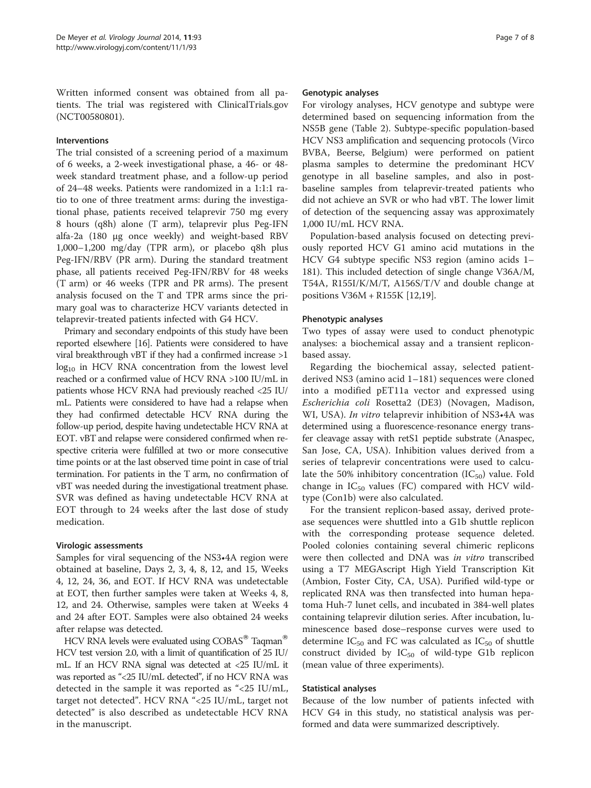Written informed consent was obtained from all patients. The trial was registered with ClinicalTrials.gov (NCT00580801).

## Interventions

The trial consisted of a screening period of a maximum of 6 weeks, a 2-week investigational phase, a 46- or 48 week standard treatment phase, and a follow-up period of 24–48 weeks. Patients were randomized in a 1:1:1 ratio to one of three treatment arms: during the investigational phase, patients received telaprevir 750 mg every 8 hours (q8h) alone (T arm), telaprevir plus Peg-IFN alfa-2a (180 μg once weekly) and weight-based RBV 1,000–1,200 mg/day (TPR arm), or placebo q8h plus Peg-IFN/RBV (PR arm). During the standard treatment phase, all patients received Peg-IFN/RBV for 48 weeks (T arm) or 46 weeks (TPR and PR arms). The present analysis focused on the T and TPR arms since the primary goal was to characterize HCV variants detected in telaprevir-treated patients infected with G4 HCV.

Primary and secondary endpoints of this study have been reported elsewhere [\[16](#page-7-0)]. Patients were considered to have viral breakthrough vBT if they had a confirmed increase >1  $log<sub>10</sub>$  in HCV RNA concentration from the lowest level reached or a confirmed value of HCV RNA >100 IU/mL in patients whose HCV RNA had previously reached <25 IU/ mL. Patients were considered to have had a relapse when they had confirmed detectable HCV RNA during the follow-up period, despite having undetectable HCV RNA at EOT. vBT and relapse were considered confirmed when respective criteria were fulfilled at two or more consecutive time points or at the last observed time point in case of trial termination. For patients in the T arm, no confirmation of vBT was needed during the investigational treatment phase. SVR was defined as having undetectable HCV RNA at EOT through to 24 weeks after the last dose of study medication.

## Virologic assessments

Samples for viral sequencing of the NS3•4A region were obtained at baseline, Days 2, 3, 4, 8, 12, and 15, Weeks 4, 12, 24, 36, and EOT. If HCV RNA was undetectable at EOT, then further samples were taken at Weeks 4, 8, 12, and 24. Otherwise, samples were taken at Weeks 4 and 24 after EOT. Samples were also obtained 24 weeks after relapse was detected.

HCV RNA levels were evaluated using  $\text{COBAS}^{\otimes}$  Taqman<sup>®</sup> HCV test version 2.0, with a limit of quantification of 25 IU/ mL. If an HCV RNA signal was detected at <25 IU/mL it was reported as "<25 IU/mL detected", if no HCV RNA was detected in the sample it was reported as "<25 IU/mL, target not detected". HCV RNA "<25 IU/mL, target not detected" is also described as undetectable HCV RNA in the manuscript.

#### Genotypic analyses

For virology analyses, HCV genotype and subtype were determined based on sequencing information from the NS5B gene (Table [2\)](#page-2-0). Subtype-specific population-based HCV NS3 amplification and sequencing protocols (Virco BVBA, Beerse, Belgium) were performed on patient plasma samples to determine the predominant HCV genotype in all baseline samples, and also in postbaseline samples from telaprevir-treated patients who did not achieve an SVR or who had vBT. The lower limit of detection of the sequencing assay was approximately 1,000 IU/mL HCV RNA.

Population-based analysis focused on detecting previously reported HCV G1 amino acid mutations in the HCV G4 subtype specific NS3 region (amino acids 1– 181). This included detection of single change V36A/M, T54A, R155I/K/M/T, A156S/T/V and double change at positions V36M + R155K [[12](#page-7-0),[19](#page-7-0)].

## Phenotypic analyses

Two types of assay were used to conduct phenotypic analyses: a biochemical assay and a transient repliconbased assay.

Regarding the biochemical assay, selected patientderived NS3 (amino acid 1–181) sequences were cloned into a modified pET11a vector and expressed using Escherichia coli Rosetta2 (DE3) (Novagen, Madison, WI, USA). In vitro telaprevir inhibition of NS3•4A was determined using a fluorescence-resonance energy transfer cleavage assay with retS1 peptide substrate (Anaspec, San Jose, CA, USA). Inhibition values derived from a series of telaprevir concentrations were used to calculate the 50% inhibitory concentration  $(IC_{50})$  value. Fold change in  $IC_{50}$  values (FC) compared with HCV wildtype (Con1b) were also calculated.

For the transient replicon-based assay, derived protease sequences were shuttled into a G1b shuttle replicon with the corresponding protease sequence deleted. Pooled colonies containing several chimeric replicons were then collected and DNA was in vitro transcribed using a T7 MEGAscript High Yield Transcription Kit (Ambion, Foster City, CA, USA). Purified wild-type or replicated RNA was then transfected into human hepatoma Huh-7 lunet cells, and incubated in 384-well plates containing telaprevir dilution series. After incubation, luminescence based dose–response curves were used to determine  $IC_{50}$  and FC was calculated as  $IC_{50}$  of shuttle construct divided by  $IC_{50}$  of wild-type G1b replicon (mean value of three experiments).

## Statistical analyses

Because of the low number of patients infected with HCV G4 in this study, no statistical analysis was performed and data were summarized descriptively.